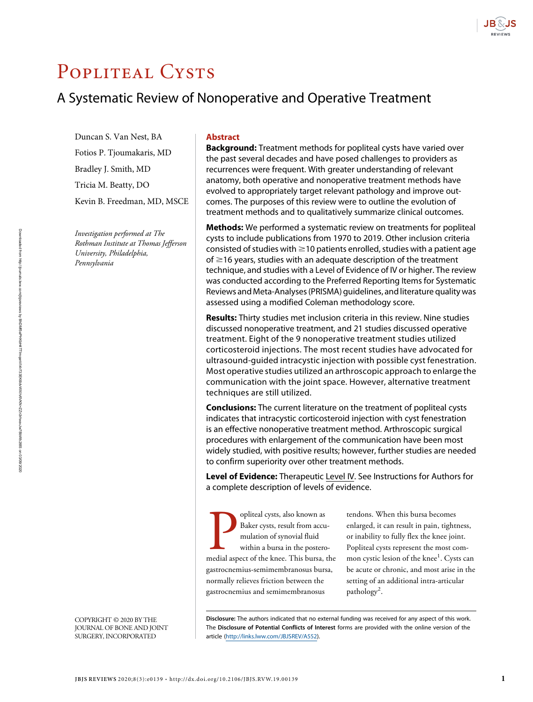

## POPLITEAL CYSTS

### A Systematic Review of Nonoperative and Operative Treatment

Duncan S. Van Nest, BA Fotios P. Tjoumakaris, MD Bradley J. Smith, MD Tricia M. Beatty, DO Kevin B. Freedman, MD, MSCE

Investigation performed at The Rothman Institute at Thomas Jefferson University, Philadelphia, Pennsylvania

Abstract

Background: Treatment methods for popliteal cysts have varied over the past several decades and have posed challenges to providers as recurrences were frequent. With greater understanding of relevant anatomy, both operative and nonoperative treatment methods have evolved to appropriately target relevant pathology and improve outcomes. The purposes of this review were to outline the evolution of treatment methods and to qualitatively summarize clinical outcomes.

Methods: We performed a systematic review on treatments for popliteal cysts to include publications from 1970 to 2019. Other inclusion criteria consisted of studies with  $\geq$  10 patients enrolled, studies with a patient age of  $\geq$ 16 years, studies with an adequate description of the treatment technique, and studies with a Level of Evidence of IV or higher. The review was conducted according to the Preferred Reporting Items for Systematic Reviews and Meta-Analyses (PRISMA) guidelines, and literature quality was assessed using a modified Coleman methodology score.

**Results:** Thirty studies met inclusion criteria in this review. Nine studies discussed nonoperative treatment, and 21 studies discussed operative treatment. Eight of the 9 nonoperative treatment studies utilized corticosteroid injections. The most recent studies have advocated for ultrasound-guided intracystic injection with possible cyst fenestration. Most operative studies utilized an arthroscopic approach to enlarge the communication with the joint space. However, alternative treatment techniques are still utilized.

Conclusions: The current literature on the treatment of popliteal cysts indicates that intracystic corticosteroid injection with cyst fenestration is an effective nonoperative treatment method. Arthroscopic surgical procedures with enlargement of the communication have been most widely studied, with positive results; however, further studies are needed to confirm superiority over other treatment methods.

Level of Evidence: Therapeutic Level IV. See Instructions for Authors for a complete description of levels of evidence.

popliteal cysts, also known as<br>Baker cysts, result from accu-<br>mulation of synovial fluid<br>within a bursa in the postero-<br>medial aspect of the knee. This bursa, the Baker cysts, result from accumulation of synovial fluid within a bursa in the posterogastrocnemius-semimembranosus bursa, normally relieves friction between the gastrocnemius and semimembranosus

tendons. When this bursa becomes enlarged, it can result in pain, tightness, or inability to fully flex the knee joint. Popliteal cysts represent the most common cystic lesion of the knee<sup>1</sup>. Cysts can be acute or chronic, and most arise in the setting of an additional intra-articular pathology<sup>2</sup>.

Disclosure: The authors indicated that no external funding was received for any aspect of this work. The Disclosure of Potential Conflicts of Interest forms are provided with the online version of the article (<http://links.lww.com/JBJSREV/A552>).

COPYRIGHT © 2020 BY THE JOURNAL OF BONE AND JOINT SURGERY, INCORPORATED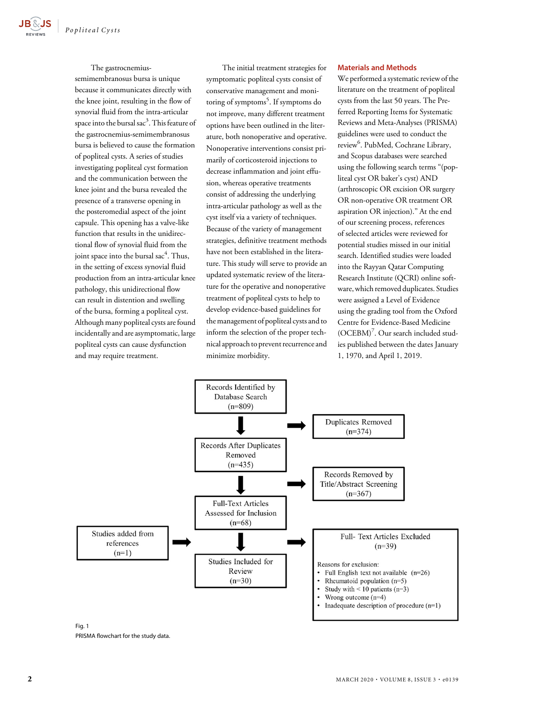**JB**&JS

### The gastrocnemius-

semimembranosus bursa is unique because it communicates directly with the knee joint, resulting in the flow of synovial fluid from the intra-articular space into the bursal sac $^3.$  This feature of the gastrocnemius-semimembranosus bursa is believed to cause the formation of popliteal cysts. A series of studies investigating popliteal cyst formation and the communication between the knee joint and the bursa revealed the presence of a transverse opening in the posteromedial aspect of the joint capsule. This opening has a valve-like function that results in the unidirectional flow of synovial fluid from the joint space into the bursal sac $\mathrm{^4}.$  Thus, in the setting of excess synovial fluid production from an intra-articular knee pathology, this unidirectional flow can result in distention and swelling of the bursa, forming a popliteal cyst. Although many popliteal cysts are found incidentally and are asymptomatic, large popliteal cysts can cause dysfunction and may require treatment.

The initial treatment strategies for symptomatic popliteal cysts consist of conservative management and monitoring of symptoms<sup>5</sup>. If symptoms do not improve, many different treatment options have been outlined in the literature, both nonoperative and operative. Nonoperative interventions consist primarily of corticosteroid injections to decrease inflammation and joint effusion, whereas operative treatments consist of addressing the underlying intra-articular pathology as well as the cyst itself via a variety of techniques. Because of the variety of management strategies, definitive treatment methods have not been established in the literature. This study will serve to provide an updated systematic review of the literature for the operative and nonoperative treatment of popliteal cysts to help to develop evidence-based guidelines for the management of popliteal cysts and to inform the selection of the proper technical approach to prevent recurrence and minimize morbidity.

### Materials and Methods

We performed a systematic review of the literature on the treatment of popliteal cysts from the last 50 years. The Preferred Reporting Items for Systematic Reviews and Meta-Analyses (PRISMA) guidelines were used to conduct the review<sup>6</sup>. PubMed, Cochrane Library, and Scopus databases were searched using the following search terms "(popliteal cyst OR baker's cyst) AND (arthroscopic OR excision OR surgery OR non-operative OR treatment OR aspiration OR injection)." At the end of our screening process, references of selected articles were reviewed for potential studies missed in our initial search. Identified studies were loaded into the Rayyan Qatar Computing Research Institute (QCRI) online software, which removed duplicates. Studies were assigned a Level of Evidence using the grading tool from the Oxford Centre for Evidence-Based Medicine (OCEBM)<sup>7</sup>. Our search included studies published between the dates January 1, 1970, and April 1, 2019.



PRISMA flowchart for the study data.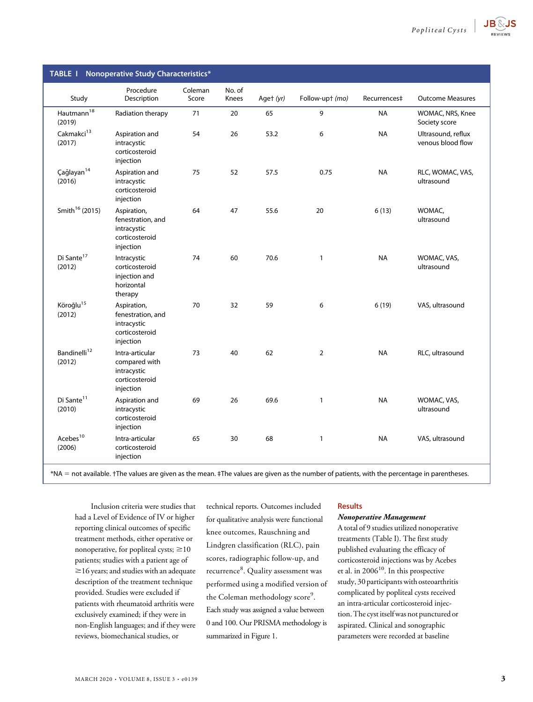| <b>REVIEWS</b> |
|----------------|

| TABLE I Nonoperative Study Characteristics*         |                                                                                |                  |                 |           |                 |              |                                         |  |
|-----------------------------------------------------|--------------------------------------------------------------------------------|------------------|-----------------|-----------|-----------------|--------------|-----------------------------------------|--|
| Study                                               | Procedure<br>Description                                                       | Coleman<br>Score | No. of<br>Knees | Aget (yr) | Follow-upt (mo) | Recurrences‡ | <b>Outcome Measures</b>                 |  |
| $\mbox{Hautmann}^{\mbox{\scriptsize 18}}$<br>(2019) | Radiation therapy                                                              | 71               | 20              | 65        | 9               | <b>NA</b>    | WOMAC, NRS, Knee<br>Society score       |  |
| Cakmakci <sup>13</sup><br>(2017)                    | Aspiration and<br>intracystic<br>corticosteroid<br>injection                   | 54               | 26              | 53.2      | 6               | <b>NA</b>    | Ultrasound, reflux<br>venous blood flow |  |
| Çağlayan <sup>14</sup><br>(2016)                    | Aspiration and<br>intracystic<br>corticosteroid<br>injection                   | 75               | 52              | 57.5      | 0.75            | <b>NA</b>    | RLC, WOMAC, VAS,<br>ultrasound          |  |
| Smith <sup>16</sup> (2015)                          | Aspiration,<br>fenestration, and<br>intracystic<br>corticosteroid<br>injection | 64               | 47              | 55.6      | 20              | 6(13)        | WOMAC,<br>ultrasound                    |  |
| Di Sante <sup>17</sup><br>(2012)                    | Intracystic<br>corticosteroid<br>injection and<br>horizontal<br>therapy        | 74               | 60              | 70.6      | $\mathbf{1}$    | <b>NA</b>    | WOMAC, VAS,<br>ultrasound               |  |
| Köroğlu <sup>15</sup><br>(2012)                     | Aspiration,<br>fenestration, and<br>intracystic<br>corticosteroid<br>injection | 70               | 32              | 59        | 6               | 6(19)        | VAS, ultrasound                         |  |
| Bandinelli <sup>12</sup><br>(2012)                  | Intra-articular<br>compared with<br>intracystic<br>corticosteroid<br>injection | 73               | 40              | 62        | $\overline{2}$  | <b>NA</b>    | RLC, ultrasound                         |  |
| Di Sante <sup>11</sup><br>(2010)                    | Aspiration and<br>intracystic<br>corticosteroid<br>injection                   | 69               | 26              | 69.6      | $\mathbf{1}$    | <b>NA</b>    | WOMAC, VAS,<br>ultrasound               |  |
| Acebes <sup>10</sup><br>(2006)                      | Intra-articular<br>corticosteroid<br>injection                                 | 65               | 30              | 68        | $\mathbf{1}$    | <b>NA</b>    | VAS, ultrasound                         |  |

\*NA 5 not available. †The values are given as the mean. ‡The values are given as the number of patients, with the percentage in parentheses.

Inclusion criteria were studies that had a Level of Evidence of IV or higher reporting clinical outcomes of specific treatment methods, either operative or nonoperative, for popliteal cysts;  $\geq 10$ patients; studies with a patient age of  $\ge$  16 years; and studies with an adequate description of the treatment technique provided. Studies were excluded if patients with rheumatoid arthritis were exclusively examined; if they were in non-English languages; and if they were reviews, biomechanical studies, or

technical reports. Outcomes included for qualitative analysis were functional knee outcomes, Rauschning and Lindgren classification (RLC), pain scores, radiographic follow-up, and recurrence<sup>8</sup>. Quality assessment was performed using a modified version of the Coleman methodology score<sup>9</sup>. Each study was assigned a value between 0 and 100. Our PRISMA methodology is summarized in Figure 1.

### **Results**

Nonoperative Management A total of 9 studies utilized nonoperative treatments (Table I). The first study published evaluating the efficacy of corticosteroid injections was by Acebes et al. in  $2006^{10}$ . In this prospective study, 30 participants with osteoarthritis complicated by popliteal cysts received an intra-articular corticosteroid injection. The cyst itself was not punctured or aspirated. Clinical and sonographic parameters were recorded at baseline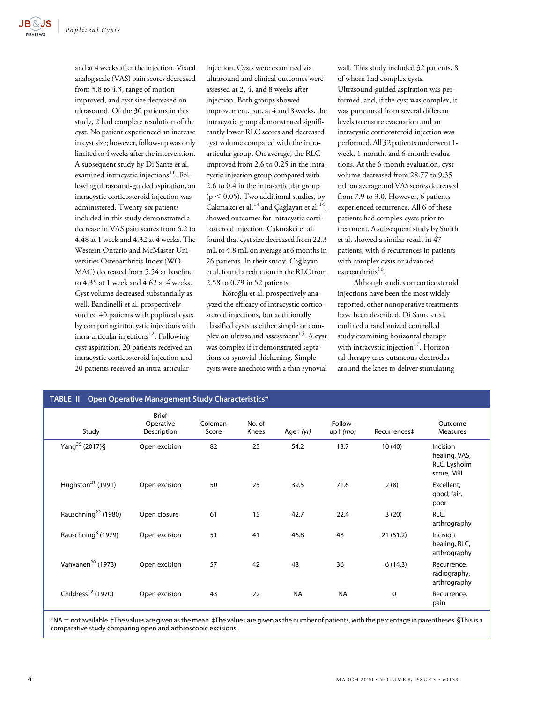and at 4 weeks after the injection. Visual analog scale (VAS) pain scores decreased from 5.8 to 4.3, range of motion improved, and cyst size decreased on ultrasound. Of the 30 patients in this study, 2 had complete resolution of the cyst. No patient experienced an increase in cyst size; however, follow-up was only limited to 4 weeks after the intervention. A subsequent study by Di Sante et al. examined intracystic injections $11$ . Following ultrasound-guided aspiration, an intracystic corticosteroid injection was administered. Twenty-six patients included in this study demonstrated a decrease in VAS pain scores from 6.2 to 4.48 at 1 week and 4.32 at 4 weeks. The Western Ontario and McMaster Universities Osteoarthritis Index (WO-MAC) decreased from 5.54 at baseline to 4.35 at 1 week and 4.62 at 4 weeks. Cyst volume decreased substantially as well. Bandinelli et al. prospectively studied 40 patients with popliteal cysts by comparing intracystic injections with intra-articular injections $12$ . Following cyst aspiration, 20 patients received an intracystic corticosteroid injection and 20 patients received an intra-articular

injection. Cysts were examined via ultrasound and clinical outcomes were assessed at 2, 4, and 8 weeks after injection. Both groups showed improvement, but, at 4 and 8 weeks, the intracystic group demonstrated significantly lower RLC scores and decreased cyst volume compared with the intraarticular group. On average, the RLC improved from 2.6 to 0.25 in the intracystic injection group compared with 2.6 to 0.4 in the intra-articular group  $(p < 0.05)$ . Two additional studies, by Cakmakci et al.<sup>13</sup> and Çağlayan et al.<sup>14</sup>, showed outcomes for intracystic corticosteroid injection. Cakmakci et al. found that cyst size decreased from 22.3 mL to 4.8 mL on average at 6 months in 26 patients. In their study, Çağlayan et al. found a reduction in the RLC from 2.58 to 0.79 in 52 patients.

Köroğlu et al. prospectively analyzed the efficacy of intracystic corticosteroid injections, but additionally classified cysts as either simple or complex on ultrasound assessment<sup>15</sup>. A cyst was complex if it demonstrated septations or synovial thickening. Simple cysts were anechoic with a thin synovial wall. This study included 32 patients, 8 of whom had complex cysts. Ultrasound-guided aspiration was performed, and, if the cyst was complex, it was punctured from several different levels to ensure evacuation and an intracystic corticosteroid injection was performed. All 32 patients underwent 1 week, 1-month, and 6-month evaluations. At the 6-month evaluation, cyst volume decreased from 28.77 to 9.35 mL on average and VAS scores decreased from 7.9 to 3.0. However, 6 patients experienced recurrence. All 6 of these patients had complex cysts prior to treatment. A subsequent study by Smith et al. showed a similar result in 47 patients, with 6 recurrences in patients with complex cysts or advanced osteoarthritis $16$ .

Although studies on corticosteroid injections have been the most widely reported, other nonoperative treatments have been described. Di Sante et al. outlined a randomized controlled study examining horizontal therapy with intracystic injection $17$ . Horizontal therapy uses cutaneous electrodes around the knee to deliver stimulating

| Open Operative Management Study Characteristics*<br><b>TABLE II</b> |                                          |                  |                 |           |                       |              |                                                         |  |
|---------------------------------------------------------------------|------------------------------------------|------------------|-----------------|-----------|-----------------------|--------------|---------------------------------------------------------|--|
| Study                                                               | <b>Brief</b><br>Operative<br>Description | Coleman<br>Score | No. of<br>Knees | Aget (yr) | Follow-<br>$up+$ (mo) | Recurrences‡ | Outcome<br>Measures                                     |  |
| Yang <sup>35</sup> (2017)§                                          | Open excision                            | 82               | 25              | 54.2      | 13.7                  | 10(40)       | Incision<br>healing, VAS,<br>RLC, Lysholm<br>score, MRI |  |
| Hughston $^{21}$ (1991)                                             | Open excision                            | 50               | 25              | 39.5      | 71.6                  | 2(8)         | Excellent,<br>good, fair,<br>poor                       |  |
| Rauschning <sup>22</sup> (1980)                                     | Open closure                             | 61               | 15              | 42.7      | 22.4                  | 3(20)        | RLC,<br>arthrography                                    |  |
| Rauschning <sup>8</sup> (1979)                                      | Open excision                            | 51               | 41              | 46.8      | 48                    | 21(51.2)     | Incision<br>healing, RLC,<br>arthrography               |  |
| Vahvanen <sup>20</sup> (1973)                                       | Open excision                            | 57               | 42              | 48        | 36                    | 6(14.3)      | Recurrence,<br>radiography,<br>arthrography             |  |
| Childress <sup>19</sup> (1970)                                      | Open excision                            | 43               | 22              | <b>NA</b> | <b>NA</b>             | $\mathbf 0$  | Recurrence,<br>pain                                     |  |

\*NA 5 not available. †The values are given as the mean. ‡The values are given as the number of patients, with the percentage in parentheses. §This is a comparative study comparing open and arthroscopic excisions.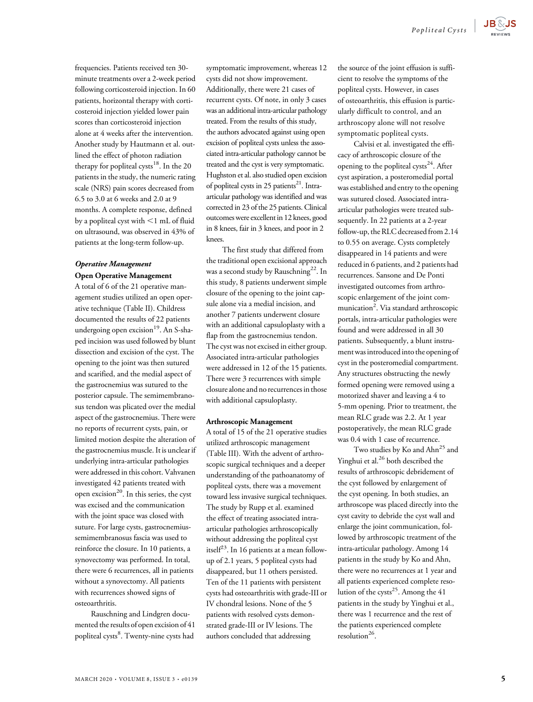

frequencies. Patients received ten 30 minute treatments over a 2-week period following corticosteroid injection. In 60 patients, horizontal therapy with corticosteroid injection yielded lower pain scores than corticosteroid injection alone at 4 weeks after the intervention. Another study by Hautmann et al. outlined the effect of photon radiation therapy for popliteal cysts $^{18}$ . In the 20 patients in the study, the numeric rating scale (NRS) pain scores decreased from 6.5 to 3.0 at 6 weeks and 2.0 at 9 months. A complete response, defined by a popliteal cyst with  $\leq$ 1 mL of fluid on ultrasound, was observed in 43% of patients at the long-term follow-up.

# Operative Management Open Operative Management

A total of 6 of the 21 operative management studies utilized an open operative technique (Table II). Childress documented the results of 22 patients undergoing open excision<sup>19</sup>. An S-shaped incision was used followed by blunt dissection and excision of the cyst. The opening to the joint was then sutured and scarified, and the medial aspect of the gastrocnemius was sutured to the posterior capsule. The semimembranosus tendon was plicated over the medial aspect of the gastrocnemius. There were no reports of recurrent cysts, pain, or limited motion despite the alteration of the gastrocnemius muscle. It is unclear if underlying intra-articular pathologies were addressed in this cohort. Vahvanen investigated 42 patients treated with open excision $^{20}$ . In this series, the cyst was excised and the communication with the joint space was closed with suture. For large cysts, gastrocnemiussemimembranosus fascia was used to reinforce the closure. In 10 patients, a synovectomy was performed. In total, there were 6 recurrences, all in patients without a synovectomy. All patients with recurrences showed signs of osteoarthritis.

Rauschning and Lindgren documented the results of open excision of 41 popliteal cysts<sup>8</sup>. Twenty-nine cysts had

symptomatic improvement, whereas 12 cysts did not show improvement. Additionally, there were 21 cases of recurrent cysts. Of note, in only 3 cases was an additional intra-articular pathology treated. From the results of this study, the authors advocated against using open excision of popliteal cysts unless the associated intra-articular pathology cannot be treated and the cyst is very symptomatic. Hughston et al. also studied open excision of popliteal cysts in 25 patients<sup>21</sup>. Intraarticular pathology was identified and was corrected in 23 of the 25 patients. Clinical outcomes were excellent in 12 knees, good in 8 knees, fair in 3 knees, and poor in 2 knees.

The first study that differed from the traditional open excisional approach was a second study by Rauschning<sup>22</sup>. In this study, 8 patients underwent simple closure of the opening to the joint capsule alone via a medial incision, and another 7 patients underwent closure with an additional capsuloplasty with a flap from the gastrocnemius tendon. The cyst was not excised in either group. Associated intra-articular pathologies were addressed in 12 of the 15 patients. There were 3 recurrences with simple closure alone and no recurrences in those with additional capsuloplasty.

### Arthroscopic Management

A total of 15 of the 21 operative studies utilized arthroscopic management (Table III). With the advent of arthroscopic surgical techniques and a deeper understanding of the pathoanatomy of popliteal cysts, there was a movement toward less invasive surgical techniques. The study by Rupp et al. examined the effect of treating associated intraarticular pathologies arthroscopically without addressing the popliteal cyst itself<sup>23</sup>. In 16 patients at a mean followup of 2.1 years, 5 popliteal cysts had disappeared, but 11 others persisted. Ten of the 11 patients with persistent cysts had osteoarthritis with grade-III or IV chondral lesions. None of the 5 patients with resolved cysts demonstrated grade-III or IV lesions. The authors concluded that addressing

the source of the joint effusion is sufficient to resolve the symptoms of the popliteal cysts. However, in cases of osteoarthritis, this effusion is particularly difficult to control, and an arthroscopy alone will not resolve symptomatic popliteal cysts.

Calvisi et al. investigated the efficacy of arthroscopic closure of the opening to the popliteal cysts<sup>24</sup>. After cyst aspiration, a posteromedial portal was established and entry to the opening was sutured closed. Associated intraarticular pathologies were treated subsequently. In 22 patients at a 2-year follow-up, the RLC decreased from 2.14 to 0.55 on average. Cysts completely disappeared in 14 patients and were reduced in 6 patients, and 2 patients had recurrences. Sansone and De Ponti investigated outcomes from arthroscopic enlargement of the joint communication<sup>2</sup>. Via standard arthroscopic portals, intra-articular pathologies were found and were addressed in all 30 patients. Subsequently, a blunt instrument was introduced into the opening of cyst in the posteromedial compartment. Any structures obstructing the newly formed opening were removed using a motorized shaver and leaving a 4 to 5-mm opening. Prior to treatment, the mean RLC grade was 2.2. At 1 year postoperatively, the mean RLC grade was 0.4 with 1 case of recurrence.

Two studies by Ko and Ahn<sup>25</sup> and Yinghui et al.<sup>26</sup> both described the results of arthroscopic debridement of the cyst followed by enlargement of the cyst opening. In both studies, an arthroscope was placed directly into the cyst cavity to debride the cyst wall and enlarge the joint communication, followed by arthroscopic treatment of the intra-articular pathology. Among 14 patients in the study by Ko and Ahn, there were no recurrences at 1 year and all patients experienced complete resolution of the cysts<sup>25</sup>. Among the 41 patients in the study by Yinghui et al., there was 1 recurrence and the rest of the patients experienced complete resolution<sup>26</sup>.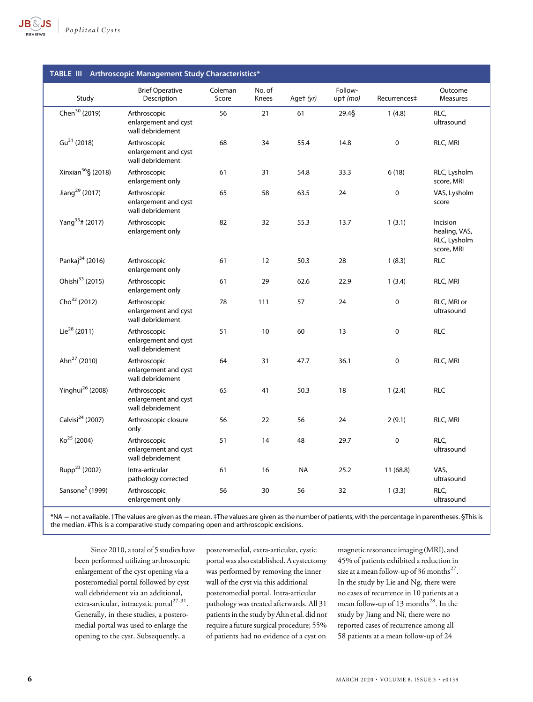

| Popliteal Cysts |  |
|-----------------|--|
|                 |  |

|                              | TABLE III Arthroscopic Management Study Characteristics* |                  |                 |           |                       |              |                                                                |
|------------------------------|----------------------------------------------------------|------------------|-----------------|-----------|-----------------------|--------------|----------------------------------------------------------------|
| Study                        | <b>Brief Operative</b><br>Description                    | Coleman<br>Score | No. of<br>Knees | Aget (yr) | Follow-<br>$up+$ (mo) | Recurrences‡ | Outcome<br><b>Measures</b>                                     |
| Chen <sup>30</sup> (2019)    | Arthroscopic<br>enlargement and cyst<br>wall debridement | 56               | 21              | 61        | 29.4§                 | 1(4.8)       | RLC,<br>ultrasound                                             |
| Gu <sup>31</sup> (2018)      | Arthroscopic<br>enlargement and cyst<br>wall debridement | 68               | 34              | 55.4      | 14.8                  | 0            | RLC, MRI                                                       |
| Xinxian $36$ § (2018)        | Arthroscopic<br>enlargement only                         | 61               | 31              | 54.8      | 33.3                  | 6(18)        | RLC, Lysholm<br>score, MRI                                     |
| Jiang <sup>29</sup> (2017)   | Arthroscopic<br>enlargement and cyst<br>wall debridement | 65               | 58              | 63.5      | 24                    | $\pmb{0}$    | VAS, Lysholm<br>score                                          |
| Yang <sup>35</sup> # (2017)  | Arthroscopic<br>enlargement only                         | 82               | 32              | 55.3      | 13.7                  | 1(3.1)       | <b>Incision</b><br>healing, VAS,<br>RLC, Lysholm<br>score, MRI |
| Pankaj <sup>34</sup> (2016)  | Arthroscopic<br>enlargement only                         | 61               | 12              | 50.3      | 28                    | 1(8.3)       | <b>RLC</b>                                                     |
| Ohishi <sup>33</sup> (2015)  | Arthroscopic<br>enlargement only                         | 61               | 29              | 62.6      | 22.9                  | 1(3.4)       | RLC, MRI                                                       |
| Cho <sup>32</sup> (2012)     | Arthroscopic<br>enlargement and cyst<br>wall debridement | 78               | 111             | 57        | 24                    | $\mathbf 0$  | RLC, MRI or<br>ultrasound                                      |
| Lie <sup>28</sup> (2011)     | Arthroscopic<br>enlargement and cyst<br>wall debridement | 51               | 10              | 60        | 13                    | $\mathbf 0$  | <b>RLC</b>                                                     |
| Ahn <sup>27</sup> (2010)     | Arthroscopic<br>enlargement and cyst<br>wall debridement | 64               | 31              | 47.7      | 36.1                  | $\pmb{0}$    | RLC, MRI                                                       |
| Yinghui <sup>26</sup> (2008) | Arthroscopic<br>enlargement and cyst<br>wall debridement | 65               | 41              | 50.3      | 18                    | 1(2.4)       | <b>RLC</b>                                                     |
| Calvisi <sup>24</sup> (2007) | Arthroscopic closure<br>only                             | 56               | 22              | 56        | 24                    | 2(9.1)       | RLC, MRI                                                       |
| Ko <sup>25</sup> (2004)      | Arthroscopic<br>enlargement and cyst<br>wall debridement | 51               | 14              | 48        | 29.7                  | $\mathbf 0$  | RLC,<br>ultrasound                                             |
| Rupp <sup>23</sup> (2002)    | Intra-articular<br>pathology corrected                   | 61               | 16              | <b>NA</b> | 25.2                  | 11(68.8)     | VAS,<br>ultrasound                                             |
| Sansone <sup>2</sup> (1999)  | Arthroscopic<br>enlargement only                         | 56               | 30              | 56        | 32                    | 1(3.3)       | RLC,<br>ultrasound                                             |

\*NA 5 not available. †The values are given as the mean. ‡The values are given as the number of patients, with the percentage in parentheses. §This is the median. #This is a comparative study comparing open and arthroscopic excisions.

Since 2010, a total of 5 studies have been performed utilizing arthroscopic enlargement of the cyst opening via a posteromedial portal followed by cyst wall debridement via an additional, extra-articular, intracystic portal $27-31$ . Generally, in these studies, a posteromedial portal was used to enlarge the opening to the cyst. Subsequently, a

posteromedial, extra-articular, cystic portal was also established. A cystectomy was performed by removing the inner wall of the cyst via this additional posteromedial portal. Intra-articular pathology was treated afterwards. All 31 patients in the study by Ahn et al. did not require a future surgical procedure; 55% of patients had no evidence of a cyst on

magnetic resonance imaging (MRI), and 45% of patients exhibited a reduction in size at a mean follow-up of 36 months<sup>27</sup>. In the study by Lie and Ng, there were no cases of recurrence in 10 patients at a mean follow-up of 13 months<sup>28</sup>. In the study by Jiang and Ni, there were no reported cases of recurrence among all 58 patients at a mean follow-up of 24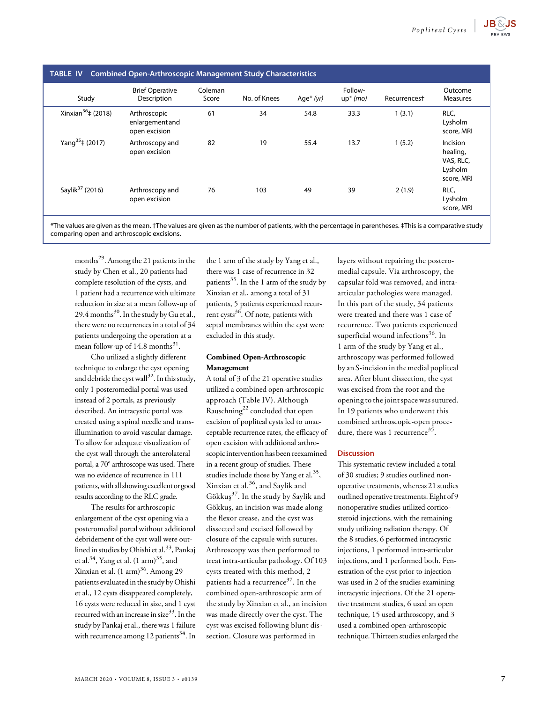| s.<br>REVIEV |
|--------------|

| <b>TABLE IV</b><br><b>Combined Open-Arthroscopic Management Study Characteristics</b> |                                                  |                  |              |             |                       |                          |                                                            |  |
|---------------------------------------------------------------------------------------|--------------------------------------------------|------------------|--------------|-------------|-----------------------|--------------------------|------------------------------------------------------------|--|
| Study                                                                                 | <b>Brief Operative</b><br>Description            | Coleman<br>Score | No. of Knees | Age* $(yr)$ | Follow-<br>$up*$ (mo) | Recurrences <sup>+</sup> | Outcome<br><b>Measures</b>                                 |  |
| Xinxian <sup>36</sup> ‡ (2018)                                                        | Arthroscopic<br>enlargement and<br>open excision | 61               | 34           | 54.8        | 33.3                  | 1(3.1)                   | RLC,<br>Lysholm<br>score, MRI                              |  |
| Yang <sup>35</sup> ‡ (2017)                                                           | Arthroscopy and<br>open excision                 | 82               | 19           | 55.4        | 13.7                  | 1(5.2)                   | Incision<br>healing,<br>VAS, RLC,<br>Lysholm<br>score, MRI |  |
| Saylik <sup>37</sup> (2016)                                                           | Arthroscopy and<br>open excision                 | 76               | 103          | 49          | 39                    | 2(1.9)                   | RLC,<br>Lysholm<br>score, MRI                              |  |

\*The values are given as the mean. †The values are given as the number of patients, with the percentage in parentheses. ‡This is a comparative study comparing open and arthroscopic excisions.

months<sup>29</sup>. Among the 21 patients in the study by Chen et al., 20 patients had complete resolution of the cysts, and 1 patient had a recurrence with ultimate reduction in size at a mean follow-up of 29.4 months $^{30}$ . In the study by Gu et al., there were no recurrences in a total of 34 patients undergoing the operation at a mean follow-up of  $14.8$  months<sup>31</sup>.

Cho utilized a slightly different technique to enlarge the cyst opening and debride the cyst wall $^{32}$ . In this study, only 1 posteromedial portal was used instead of 2 portals, as previously described. An intracystic portal was created using a spinal needle and transillumination to avoid vascular damage. To allow for adequate visualization of the cyst wall through the anterolateral portal, a 70° arthroscope was used. There was no evidence of recurrence in 111 patients, with all showing excellent or good results according to the RLC grade.

The results for arthroscopic enlargement of the cyst opening via a posteromedial portal without additional debridement of the cyst wall were outlined in studies by Ohishi et al.<sup>33</sup>, Pankaj et al.<sup>34</sup>, Yang et al.  $(1 \text{ arm})^{35}$ , and Xinxian et al.  $(1 \text{ arm})^{36}$ . Among 29 patients evaluated in the study by Ohishi et al., 12 cysts disappeared completely, 16 cysts were reduced in size, and 1 cyst recurred with an increase in size<sup>33</sup>. In the study by Pankaj et al., there was 1 failure with recurrence among 12 patients<sup>34</sup>. In

the 1 arm of the study by Yang et al., there was 1 case of recurrence in 32 patients $35$ . In the 1 arm of the study by Xinxian et al., among a total of 31 patients, 5 patients experienced recurrent cysts<sup>36</sup>. Of note, patients with septal membranes within the cyst were excluded in this study.

### Combined Open-Arthroscopic Management

A total of 3 of the 21 operative studies utilized a combined open-arthroscopic approach (Table IV). Although Rauschning<sup>22</sup> concluded that open excision of popliteal cysts led to unacceptable recurrence rates, the efficacy of open excision with additional arthroscopic intervention has been reexamined in a recent group of studies. These studies include those by Yang et al.<sup>35</sup>, Xinxian et al.36, and Saylik and Gökkuş<sup>37</sup>. In the study by Saylik and Gökkuş, an incision was made along the flexor crease, and the cyst was dissected and excised followed by closure of the capsule with sutures. Arthroscopy was then performed to treat intra-articular pathology. Of 103 cysts treated with this method, 2 patients had a recurrence<sup>37</sup>. In the combined open-arthroscopic arm of the study by Xinxian et al., an incision was made directly over the cyst. The cyst was excised following blunt dissection. Closure was performed in

layers without repairing the posteromedial capsule. Via arthroscopy, the capsular fold was removed, and intraarticular pathologies were managed. In this part of the study, 34 patients were treated and there was 1 case of recurrence. Two patients experienced superficial wound infections $36$ . In 1 arm of the study by Yang et al., arthroscopy was performed followed by an S-incision in the medial popliteal area. After blunt dissection, the cyst was excised from the root and the opening to the joint space was sutured. In 19 patients who underwent this combined arthroscopic-open procedure, there was 1 recurrence<sup>35</sup>.

### Discussion

This systematic review included a total of 30 studies; 9 studies outlined nonoperative treatments, whereas 21 studies outlined operative treatments. Eight of 9 nonoperative studies utilized corticosteroid injections, with the remaining study utilizing radiation therapy. Of the 8 studies, 6 performed intracystic injections, 1 performed intra-articular injections, and 1 performed both. Fenestration of the cyst prior to injection was used in 2 of the studies examining intracystic injections. Of the 21 operative treatment studies, 6 used an open technique, 15 used arthroscopy, and 3 used a combined open-arthroscopic technique. Thirteen studies enlarged the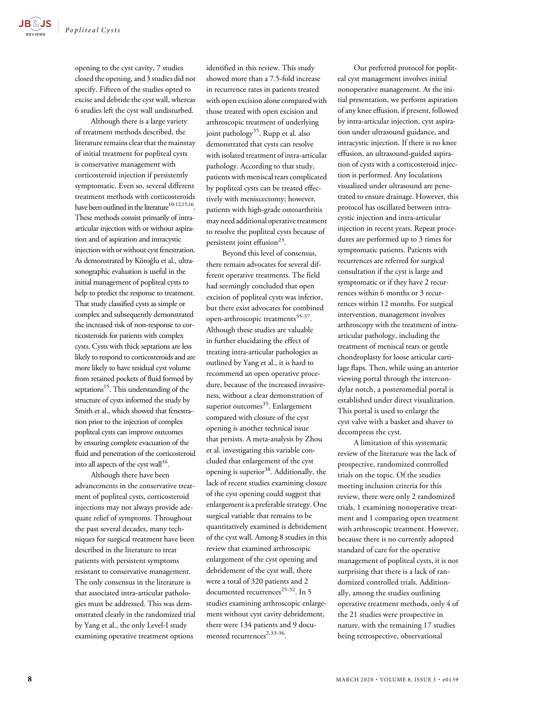

opening to the cyst cavity, 7 studies closed the opening, and 3 studies did not specify. Fifteen of the studies opted to excise and debride the cyst wall, whereas 6 studies left the cyst wall undisturbed.

Although there is a large variety of treatment methods described, the literature remains clear that the mainstay of initial treatment for popliteal cysts is conservative management with corticosteroid injection if persistently symptomatic. Even so, several different treatment methods with corticosteroids have been outlined in the literature<sup>10-12,15,16</sup>. These methods consist primarily of intraarticular injection with or without aspiration and of aspiration and intracystic injection with or without cyst fenestration. As demonstrated by Köroğlu et al., ultrasonographic evaluation is useful in the initial management of popliteal cysts to help to predict the response to treatment. That study classified cysts as simple or complex and subsequently demonstrated the increased risk of non-response to corticosteroids for patients with complex cysts. Cysts with thick septations are less likely to respond to corticosteroids and are more likely to have residual cyst volume from retained pockets of fluid formed by septations<sup>15</sup>. This understanding of the structure of cysts informed the study by Smith et al., which showed that fenestration prior to the injection of complex popliteal cysts can improve outcomes by ensuring complete evacuation of the fluid and penetration of the corticosteroid into all aspects of the cyst wall<sup>16</sup>.

Although there have been advancements in the conservative treatment of popliteal cysts, corticosteroid injections may not always provide adequate relief of symptoms. Throughout the past several decades, many techniques for surgical treatment have been described in the literature to treat patients with persistent symptoms resistant to conservative management. The only consensus in the literature is that associated intra-articular pathologies must be addressed. This was demonstrated clearly in the randomized trial by Yang et al., the only Level-I study examining operative treatment options

identified in this review. This study showed more than a 7.5-fold increase in recurrence rates in patients treated with open excision alone compared with those treated with open excision and arthroscopic treatment of underlying joint pathology<sup>35</sup>. Rupp et al. also demonstrated that cysts can resolve with isolated treatment of intra-articular pathology. According to that study, patients with meniscal tears complicated by popliteal cysts can be treated effectively with meniscectomy; however, patients with high-grade osteoarthritis may need additional operative treatment to resolve the popliteal cysts because of persistent joint effusion<sup>23</sup>.

Beyond this level of consensus, there remain advocates for several different operative treatments. The field had seemingly concluded that open excision of popliteal cysts was inferior, but there exist advocates for combined open-arthroscopic treatments<sup>35-37</sup>. Although these studies are valuable in further elucidating the effect of treating intra-articular pathologies as outlined by Yang et al., it is hard to recommend an open operative procedure, because of the increased invasiveness, without a clear demonstration of superior outcomes $35$ . Enlargement compared with closure of the cyst opening is another technical issue that persists. A meta-analysis by Zhou et al. investigating this variable concluded that enlargement of the cyst opening is superior<sup>38</sup>. Additionally, the lack of recent studies examining closure of the cyst opening could suggest that enlargement is a preferable strategy. One surgical variable that remains to be quantitatively examined is debridement of the cyst wall. Among 8 studies in this review that examined arthroscopic enlargement of the cyst opening and debridement of the cyst wall, there were a total of 320 patients and 2 documented recurrences<sup>25-32</sup>. In 5 studies examining arthroscopic enlargement without cyst cavity debridement, there were 134 patients and 9 documented recurrences<sup>2,33-36</sup>.

Our preferred protocol for popliteal cyst management involves initial nonoperative management. At the initial presentation, we perform aspiration of any knee effusion, if present, followed by intra-articular injection, cyst aspiration under ultrasound guidance, and intracystic injection. If there is no knee effusion, an ultrasound-guided aspiration of cysts with a corticosteroid injection is performed. Any loculations visualized under ultrasound are penetrated to ensure drainage. However, this protocol has oscillated between intracystic injection and intra-articular injection in recent years. Repeat procedures are performed up to 3 times for symptomatic patients. Patients with recurrences are referred for surgical consultation if the cyst is large and symptomatic or if they have 2 recurrences within 6 months or 3 recurrences within 12 months. For surgical intervention, management involves arthroscopy with the treatment of intraarticular pathology, including the treatment of meniscal tears or gentle chondroplasty for loose articular cartilage flaps. Then, while using an anterior viewing portal through the intercondylar notch, a posteromedial portal is established under direct visualization. This portal is used to enlarge the cyst valve with a basket and shaver to decompress the cyst.

A limitation of this systematic review of the literature was the lack of prospective, randomized controlled trials on the topic. Of the studies meeting inclusion criteria for this review, there were only 2 randomized trials, 1 examining nonoperative treatment and 1 comparing open treatment with arthroscopic treatment. However, because there is no currently adopted standard of care for the operative management of popliteal cysts, it is not surprising that there is a lack of randomized controlled trials. Additionally, among the studies outlining operative treatment methods, only 4 of the 21 studies were prospective in nature, with the remaining 17 studies being retrospective, observational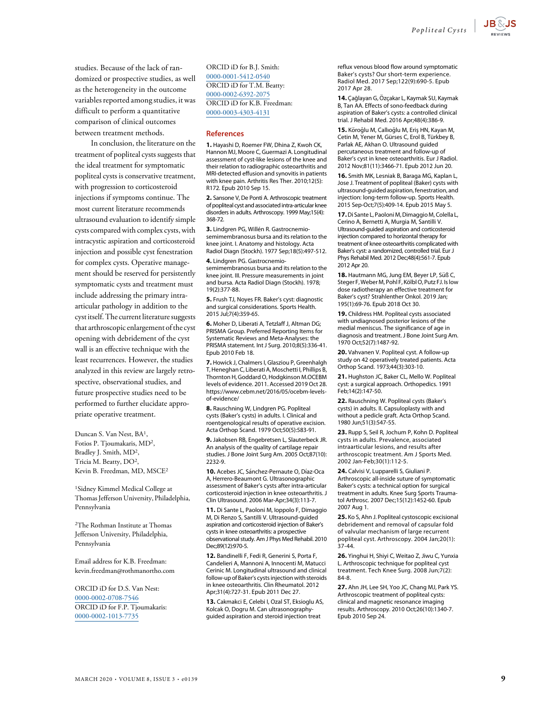

studies. Because of the lack of randomized or prospective studies, as well as the heterogeneity in the outcome variables reported among studies, it was difficult to perform a quantitative comparison of clinical outcomes between treatment methods.

In conclusion, the literature on the treatment of popliteal cysts suggests that the ideal treatment for symptomatic popliteal cysts is conservative treatment, with progression to corticosteroid injections if symptoms continue. The most current literature recommends ultrasound evaluation to identify simple cysts compared with complex cysts, with intracystic aspiration and corticosteroid injection and possible cyst fenestration for complex cysts. Operative management should be reserved for persistently symptomatic cysts and treatment must include addressing the primary intraarticular pathology in addition to the cyst itself. The current literature suggests that arthroscopic enlargement of the cyst opening with debridement of the cyst wall is an effective technique with the least recurrences. However, the studies analyzed in this review are largely retrospective, observational studies, and future prospective studies need to be performed to further elucidate appropriate operative treatment.

Duncan S. Van Nest, BA1, Fotios P. Tjoumakaris, MD2, Bradley J. Smith, MD2, Tricia M. Beatty, DO2, Kevin B. Freedman, MD, MSCE2

1Sidney Kimmel Medical College at Thomas Jefferson University, Philadelphia, Pennsylvania

2The Rothman Institute at Thomas Jefferson University, Philadelphia, Pennsylvania

Email address for K.B. Freedman: [kevin.freedman@rothmanortho.com](mailto:kevin.freedman@rothmanortho.com)

ORCID iD for D.S. Van Nest: [0000-0002-0708-7546](http://orcid.org/0000-0002-0708-7546) ORCID iD for F.P. Tjoumakaris: [0000-0002-1013-7735](http://orcid.org/0000-0002-1013-7735)

ORCID iD for B.J. Smith: [0000-0001-5412-0540](http://orcid.org/0000-0001-5412-0540) ORCID iD for T.M. Beatty: [0000-0002-6392-2075](http://orcid.org/0000-0002-6392-2075) ORCID iD for K.B. Freedman: [0000-0003-4303-4131](http://orcid.org/0000-0003-4303-4131)

#### References

1. Hayashi D, Roemer FW, Dhina Z, Kwoh CK, Hannon MJ, Moore C, Guermazi A. Longitudinal assessment of cyst-like lesions of the knee and their relation to radiographic osteoarthritis and MRI-detected effusion and synovitis in patients with knee pain. Arthritis Res Ther. 2010;12(5): R172. Epub 2010 Sep 15.

2. Sansone V, De Ponti A. Arthroscopic treatment of popliteal cystand associated intra-articular knee disorders in adults. Arthroscopy. 1999 May;15(4): 368-72.

3. Lindgren PG, Willén R. Gastrocnemiosemimembranosus bursa and its relation to the knee joint. I. Anatomy and histology. Acta Radiol Diagn (Stockh). 1977 Sep;18(5):497-512.

4. Lindgren PG. Gastrocnemiosemimembranosus bursa and its relation to the knee joint. III. Pressure measurements in joint and bursa. Acta Radiol Diagn (Stockh). 1978; 19(2):377-88.

5. Frush TJ, Noyes FR. Baker's cyst: diagnostic and surgical considerations. Sports Health. 2015 Jul;7(4):359-65.

6. Moher D, Liberati A, Tetzlaff J, Altman DG; PRISMA Group. Preferred Reporting Items for Systematic Reviews and Meta-Analyses: the PRISMA statement. Int J Surg. 2010;8(5):336-41. Epub 2010 Feb 18.

7. Howick J, Chalmers I, Glasziou P, Greenhalgh T, Heneghan C, Liberati A, Moschetti I, Phillips B, Thornton H, Goddard O, Hodgkinson M.OCEBM levels of evidence. 2011. Accessed 2019 Oct 28. [https://www.cebm.net/2016/05/ocebm-levels](https://www.cebm.net/2016/05/ocebm-levels-of-evidence/)[of-evidence/](https://www.cebm.net/2016/05/ocebm-levels-of-evidence/)

8. Rauschning W, Lindgren PG. Popliteal cysts (Baker's cysts) in adults. I. Clinical and roentgenological results of operative excision. Acta Orthop Scand. 1979 Oct;50(5):583-91.

9. Jakobsen RB, Engebretsen L, Slauterbeck JR. An analysis of the quality of cartilage repair studies. J Bone Joint Surg Am. 2005 Oct;87(10): 2232-9.

10. Acebes JC, Sánchez-Pernaute O, Díaz-Oca A, Herrero-Beaumont G. Ultrasonographic assessment of Baker's cysts after intra-articular corticosteroid injection in knee osteoarthritis. J Clin Ultrasound. 2006 Mar-Apr;34(3):113-7.

11. Di Sante L, Paoloni M, Ioppolo F, Dimaggio M, Di Renzo S, Santilli V. Ultrasound-guided aspiration and corticosteroid injection of Baker's cysts in knee osteoarthritis: a prospective observational study. Am J Phys Med Rehabil. 2010 Dec;89(12):970-5.

12. Bandinelli F, Fedi R, Generini S, Porta F, Candelieri A, Mannoni A, Innocenti M, Matucci Cerinic M. Longitudinal ultrasound and clinical follow-up of Baker's cysts injection with steroids in knee osteoarthritis. Clin Rheumatol. 2012 Apr;31(4):727-31. Epub 2011 Dec 27.

13. Cakmakci E, Celebi I, Ozal ST, Eksioglu AS, Kolcak O, Dogru M. Can ultrasonographyguided aspiration and steroid injection treat

reflux venous blood flow around symptomatic Baker's cysts? Our short-term experience. Radiol Med. 2017 Sep;122(9):690-5. Epub 2017 Apr 28.

14. Çağlayan G, Özçakar L, Kaymak SU, Kaymak B, Tan AA. Effects of sono-feedback during aspiration of Baker's cysts: a controlled clinical trial. J Rehabil Med. 2016 Apr;48(4):386-9.

15. Köroğlu M, Callıoğlu M, Eris HN, Kayan M, Cetin M, Yener M, Gürses C, Erol B, Türkbey B, Parlak AE, Akhan O. Ultrasound guided percutaneous treatment and follow-up of Baker's cyst in knee osteoarthritis. Eur J Radiol. 2012 Nov;81(11):3466-71. Epub 2012 Jun 20.

16. Smith MK, Lesniak B, Baraga MG, Kaplan L, Jose J. Treatment of popliteal (Baker) cysts with ultrasound-guided aspiration, fenestration, and injection: long-term follow-up. Sports Health. 2015 Sep-Oct;7(5):409-14. Epub 2015 May 5.

17.Di Sante L, Paoloni M, Dimaggio M, Colella L, Cerino A, Bernetti A, Murgia M, Santilli V. Ultrasound-guided aspiration and corticosteroid injection compared to horizontal therapy for treatment of knee osteoarthritis complicated with Baker's cyst: a randomized, controlled trial. Eur J Phys Rehabil Med. 2012 Dec;48(4):561-7. Epub 2012 Apr 20.

18. Hautmann MG, Jung EM, Beyer LP, Süß C, Steger F, Weber M, Pohl F, Kölbl O, Putz FJ. Is low dose radiotherapy an effective treatment for Baker's cyst? Strahlenther Onkol. 2019 Jan; 195(1):69-76. Epub 2018 Oct 30.

19. Childress HM. Popliteal cysts associated with undiagnosed posterior lesions of the medial meniscus. The significance of age in diagnosis and treatment. J Bone Joint Surg Am. 1970 Oct;52(7):1487-92.

20. Vahvanen V. Popliteal cyst. A follow-up study on 42 operatively treated patients. Acta Orthop Scand. 1973;44(3):303-10.

21. Hughston JC, Baker CL, Mello W. Popliteal cyst: a surgical approach. Orthopedics. 1991 Feb;14(2):147-50.

22. Rauschning W. Popliteal cysts (Baker's cysts) in adults. II. Capsuloplasty with and without a pedicle graft. Acta Orthop Scand. 1980 Jun;51(3):547-55.

23. Rupp S, Seil R, Jochum P, Kohn D. Popliteal cysts in adults. Prevalence, associated intraarticular lesions, and results after arthroscopic treatment. Am J Sports Med. 2002 Jan-Feb;30(1):112-5.

24. Calvisi V, Lupparelli S, Giuliani P. Arthroscopic all-inside suture of symptomatic Baker's cysts: a technical option for surgical treatment in adults. Knee Surg Sports Traumatol Arthrosc. 2007 Dec;15(12):1452-60. Epub 2007 Aug 1.

25. Ko S, Ahn J. Popliteal cystoscopic excisional debridement and removal of capsular fold of valvular mechanism of large recurrent popliteal cyst. Arthroscopy. 2004 Jan;20(1):  $37 - 44$ .

26. Yinghui H, Shiyi C, Weitao Z, Jiwu C, Yunxia L. Arthroscopic technique for popliteal cyst treatment. Tech Knee Surg. 2008 Jun;7(2): 84-8.

27. Ahn JH, Lee SH, Yoo JC, Chang MJ, Park YS. Arthroscopic treatment of popliteal cysts: clinical and magnetic resonance imaging results. Arthroscopy. 2010 Oct;26(10):1340-7. Epub 2010 Sep 24.